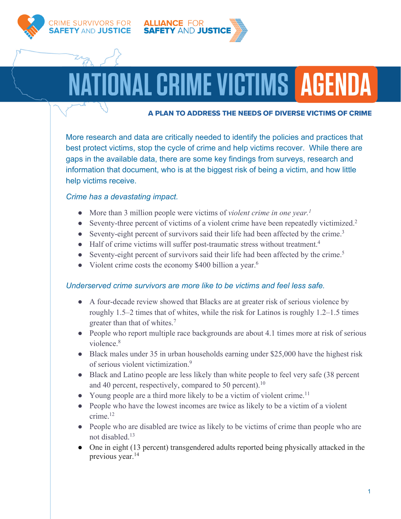

RIME SURVIVORS FOR Y AND JUSTICE



# NAL CRIME VICTIMS | AGENDA

#### A PLAN TO ADDRESS THE NEEDS OF DIVERSE VICTIMS OF CRIME

More research and data are critically needed to identify the policies and practices that best protect victims, stop the cycle of crime and help victims recover. While there are gaps in the available data, there are some key findings from surveys, research and information that document, who is at the biggest risk of being a victim, and how little help victims receive.

#### *Crime has a devastating impact.*

- More than 3 million people were victims of *violent crime in one year.1*
- Seventy-three percent of victims of a violent crime have been repeatedly victimized.<sup>2</sup>
- Seventy-eight percent of survivors said their life had been affected by the crime.<sup>3</sup>
- Half of crime victims will suffer post-traumatic stress without treatment.4
- Seventy-eight percent of survivors said their life had been affected by the crime.<sup>5</sup>
- Violent crime costs the economy  $$400$  billion a year.<sup>6</sup>

## *Underserved crime survivors are more like to be victims and feel less safe.*

- A four-decade review showed that Blacks are at greater risk of serious violence by roughly 1.5–2 times that of whites, while the risk for Latinos is roughly 1.2–1.5 times greater than that of whites.7
- People who report multiple race backgrounds are about 4.1 times more at risk of serious violence.<sup>8</sup>
- Black males under 35 in urban households earning under \$25,000 have the highest risk of serious violent victimization.9
- Black and Latino people are less likely than white people to feel very safe (38 percent and 40 percent, respectively, compared to 50 percent).<sup>10</sup>
- Young people are a third more likely to be a victim of violent crime.<sup>11</sup>
- People who have the lowest incomes are twice as likely to be a victim of a violent crime.12
- People who are disabled are twice as likely to be victims of crime than people who are not disabled.13
- One in eight (13 percent) transgendered adults reported being physically attacked in the previous year.<sup>14</sup>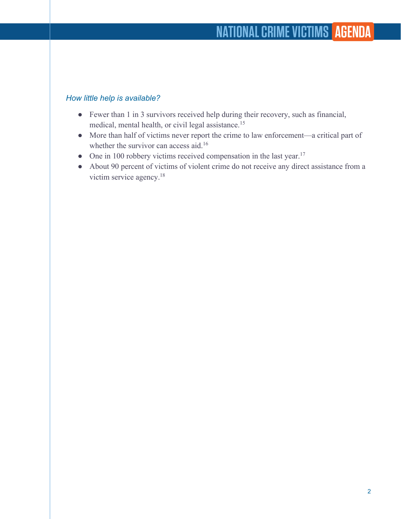### *How little help is available?*

- Fewer than 1 in 3 survivors received help during their recovery, such as financial, medical, mental health, or civil legal assistance. 15
- More than half of victims never report the crime to law enforcement—a critical part of whether the survivor can access aid.<sup>16</sup>
- One in 100 robbery victims received compensation in the last year.<sup>17</sup>
- About 90 percent of victims of violent crime do not receive any direct assistance from a victim service agency. 18